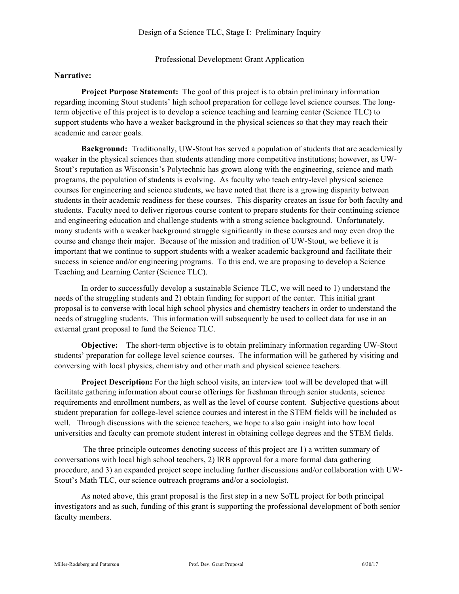Professional Development Grant Application

## **Narrative:**

**Project Purpose Statement:** The goal of this project is to obtain preliminary information regarding incoming Stout students' high school preparation for college level science courses. The longterm objective of this project is to develop a science teaching and learning center (Science TLC) to support students who have a weaker background in the physical sciences so that they may reach their academic and career goals.

**Background:** Traditionally, UW-Stout has served a population of students that are academically weaker in the physical sciences than students attending more competitive institutions; however, as UW-Stout's reputation as Wisconsin's Polytechnic has grown along with the engineering, science and math programs, the population of students is evolving. As faculty who teach entry-level physical science courses for engineering and science students, we have noted that there is a growing disparity between students in their academic readiness for these courses. This disparity creates an issue for both faculty and students. Faculty need to deliver rigorous course content to prepare students for their continuing science and engineering education and challenge students with a strong science background. Unfortunately, many students with a weaker background struggle significantly in these courses and may even drop the course and change their major. Because of the mission and tradition of UW-Stout, we believe it is important that we continue to support students with a weaker academic background and facilitate their success in science and/or engineering programs. To this end, we are proposing to develop a Science Teaching and Learning Center (Science TLC).

In order to successfully develop a sustainable Science TLC, we will need to 1) understand the needs of the struggling students and 2) obtain funding for support of the center. This initial grant proposal is to converse with local high school physics and chemistry teachers in order to understand the needs of struggling students. This information will subsequently be used to collect data for use in an external grant proposal to fund the Science TLC.

**Objective:** The short-term objective is to obtain preliminary information regarding UW-Stout students' preparation for college level science courses. The information will be gathered by visiting and conversing with local physics, chemistry and other math and physical science teachers.

**Project Description:** For the high school visits, an interview tool will be developed that will facilitate gathering information about course offerings for freshman through senior students, science requirements and enrollment numbers, as well as the level of course content. Subjective questions about student preparation for college-level science courses and interest in the STEM fields will be included as well. Through discussions with the science teachers, we hope to also gain insight into how local universities and faculty can promote student interest in obtaining college degrees and the STEM fields.

The three principle outcomes denoting success of this project are 1) a written summary of conversations with local high school teachers, 2) IRB approval for a more formal data gathering procedure, and 3) an expanded project scope including further discussions and/or collaboration with UW-Stout's Math TLC, our science outreach programs and/or a sociologist.

As noted above, this grant proposal is the first step in a new SoTL project for both principal investigators and as such, funding of this grant is supporting the professional development of both senior faculty members.